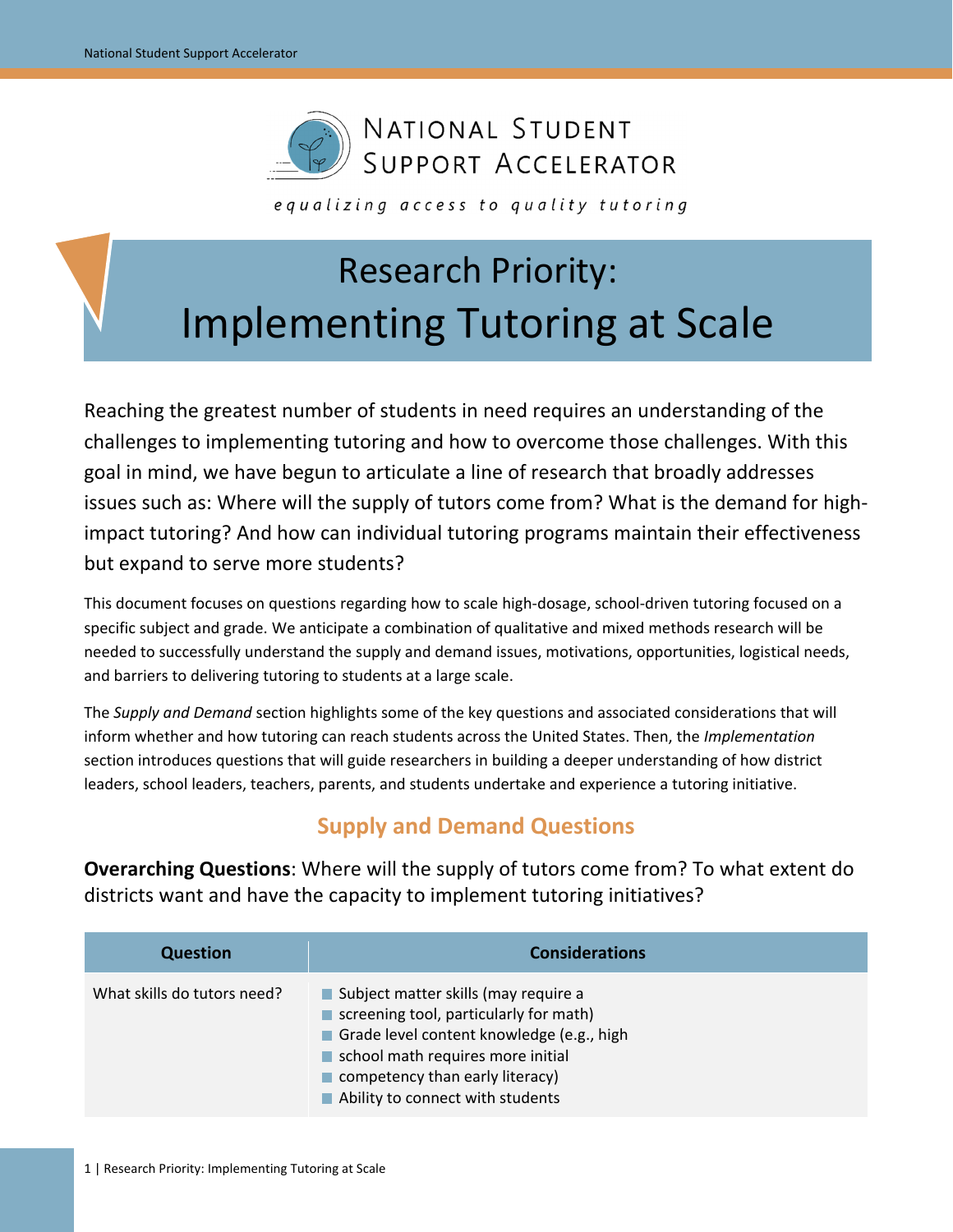

equalizing access to quality tutoring

# Research Priority: Implementing Tutoring at Scale

Reaching the greatest number of students in need requires an understanding of the challenges to implementing tutoring and how to overcome those challenges. With this goal in mind, we have begun to articulate a line of research that broadly addresses issues such as: Where will the supply of tutors come from? What is the demand for highimpact tutoring? And how can individual tutoring programs maintain their effectiveness but expand to serve more students?

This document focuses on questions regarding how to scale high-dosage, school-driven tutoring focused on a specific subject and grade. We anticipate a combination of qualitative and mixed methods research will be needed to successfully understand the supply and demand issues, motivations, opportunities, logistical needs, and barriers to delivering tutoring to students at a large scale.

The *Supply and Demand* section highlights some of the key questions and associated considerations that will inform whether and how tutoring can reach students across the United States. Then, the *Implementation* section introduces questions that will guide researchers in building a deeper understanding of how district leaders, school leaders, teachers, parents, and students undertake and experience a tutoring initiative.

## **Supply and Demand Questions**

**Overarching Questions**: Where will the supply of tutors come from? To what extent do districts want and have the capacity to implement tutoring initiatives?

| <b>Question</b>             | <b>Considerations</b>                                                                                                                                                                                                                                    |
|-----------------------------|----------------------------------------------------------------------------------------------------------------------------------------------------------------------------------------------------------------------------------------------------------|
| What skills do tutors need? | ■ Subject matter skills (may require a<br>screening tool, particularly for math)<br>Grade level content knowledge (e.g., high<br>school math requires more initial<br>$\blacksquare$ competency than early literacy)<br>Ability to connect with students |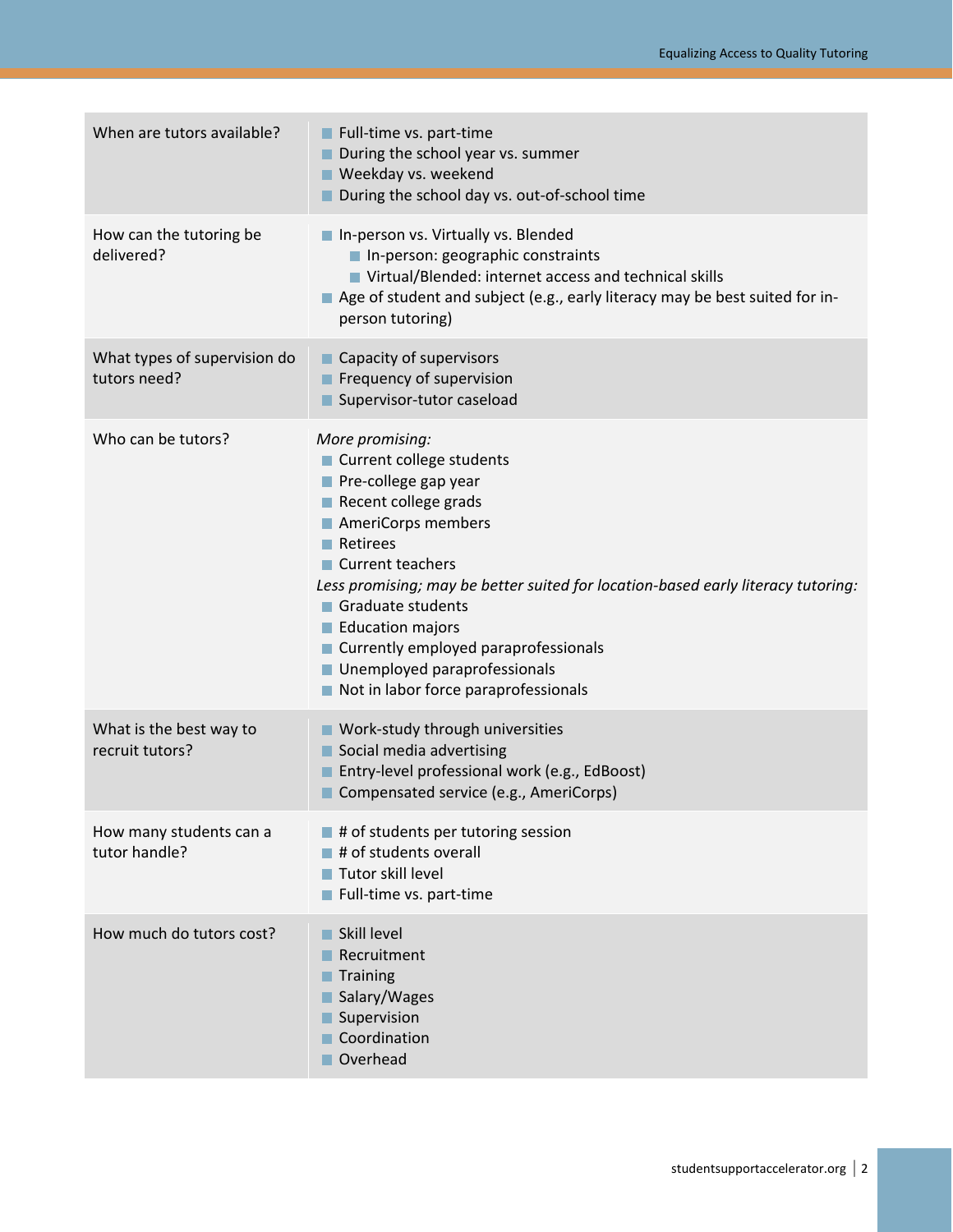| When are tutors available?                   | Full-time vs. part-time<br>During the school year vs. summer<br>Weekday vs. weekend<br>During the school day vs. out-of-school time                                                                                                                                                                                                                                                                                   |
|----------------------------------------------|-----------------------------------------------------------------------------------------------------------------------------------------------------------------------------------------------------------------------------------------------------------------------------------------------------------------------------------------------------------------------------------------------------------------------|
| How can the tutoring be<br>delivered?        | In-person vs. Virtually vs. Blended<br>In-person: geographic constraints<br>■ Virtual/Blended: internet access and technical skills<br>Age of student and subject (e.g., early literacy may be best suited for in-<br>person tutoring)                                                                                                                                                                                |
| What types of supervision do<br>tutors need? | ■ Capacity of supervisors<br>Frequency of supervision<br>Supervisor-tutor caseload                                                                                                                                                                                                                                                                                                                                    |
| Who can be tutors?                           | More promising:<br>■ Current college students<br>Pre-college gap year<br>Recent college grads<br>AmeriCorps members<br>$\blacksquare$ Retirees<br>■ Current teachers<br>Less promising; may be better suited for location-based early literacy tutoring:<br>Graduate students<br>Education majors<br>■ Currently employed paraprofessionals<br>■ Unemployed paraprofessionals<br>Not in labor force paraprofessionals |
| What is the best way to<br>recruit tutors?   | ■ Work-study through universities<br>Social media advertising<br>Entry-level professional work (e.g., EdBoost)<br>Compensated service (e.g., AmeriCorps)                                                                                                                                                                                                                                                              |
| How many students can a<br>tutor handle?     | $\blacksquare$ # of students per tutoring session<br># of students overall<br>Tutor skill level<br>Full-time vs. part-time                                                                                                                                                                                                                                                                                            |
| How much do tutors cost?                     | Skill level<br>Recruitment<br>Training<br>Salary/Wages<br>Supervision<br>Coordination<br>Overhead                                                                                                                                                                                                                                                                                                                     |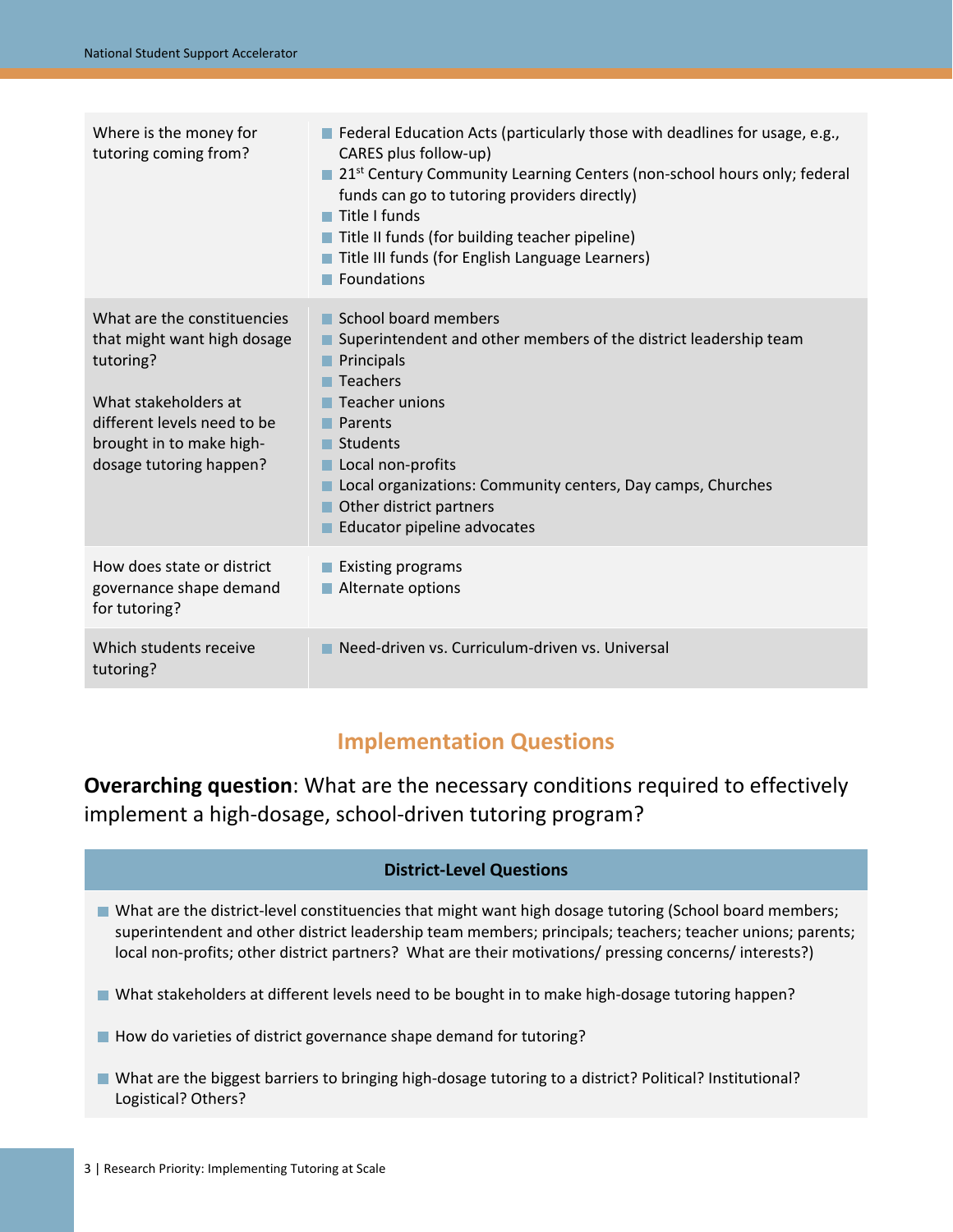| Where is the money for<br>tutoring coming from?                                                                                                                                       | $\blacksquare$ Federal Education Acts (particularly those with deadlines for usage, e.g.,<br>CARES plus follow-up)<br>21st Century Community Learning Centers (non-school hours only; federal<br>funds can go to tutoring providers directly)<br>$\blacksquare$ Title I funds<br>Title II funds (for building teacher pipeline)<br>Title III funds (for English Language Learners)<br>Foundations |
|---------------------------------------------------------------------------------------------------------------------------------------------------------------------------------------|---------------------------------------------------------------------------------------------------------------------------------------------------------------------------------------------------------------------------------------------------------------------------------------------------------------------------------------------------------------------------------------------------|
| What are the constituencies<br>that might want high dosage<br>tutoring?<br>What stakeholders at<br>different levels need to be<br>brought in to make high-<br>dosage tutoring happen? | $\blacksquare$ School board members<br>Superintendent and other members of the district leadership team<br>Principals<br>П<br>Teachers<br>. .<br>Teacher unions<br>$\blacksquare$ Parents<br>$\blacksquare$ Students<br>Local non-profits<br>Local organizations: Community centers, Day camps, Churches<br>Other district partners<br>Educator pipeline advocates                                |
| How does state or district<br>governance shape demand<br>for tutoring?                                                                                                                | ■ Existing programs<br>Alternate options                                                                                                                                                                                                                                                                                                                                                          |
| Which students receive<br>tutoring?                                                                                                                                                   | Need-driven vs. Curriculum-driven vs. Universal                                                                                                                                                                                                                                                                                                                                                   |

## **Implementation Questions**

**Overarching question**: What are the necessary conditions required to effectively implement a high-dosage, school-driven tutoring program?

### **District-Level Questions**

- What are the district-level constituencies that might want high dosage tutoring (School board members; superintendent and other district leadership team members; principals; teachers; teacher unions; parents; local non-profits; other district partners? What are their motivations/ pressing concerns/ interests?)
- What stakeholders at different levels need to be bought in to make high-dosage tutoring happen?
- How do varieties of district governance shape demand for tutoring?
- What are the biggest barriers to bringing high-dosage tutoring to a district? Political? Institutional? Logistical? Others?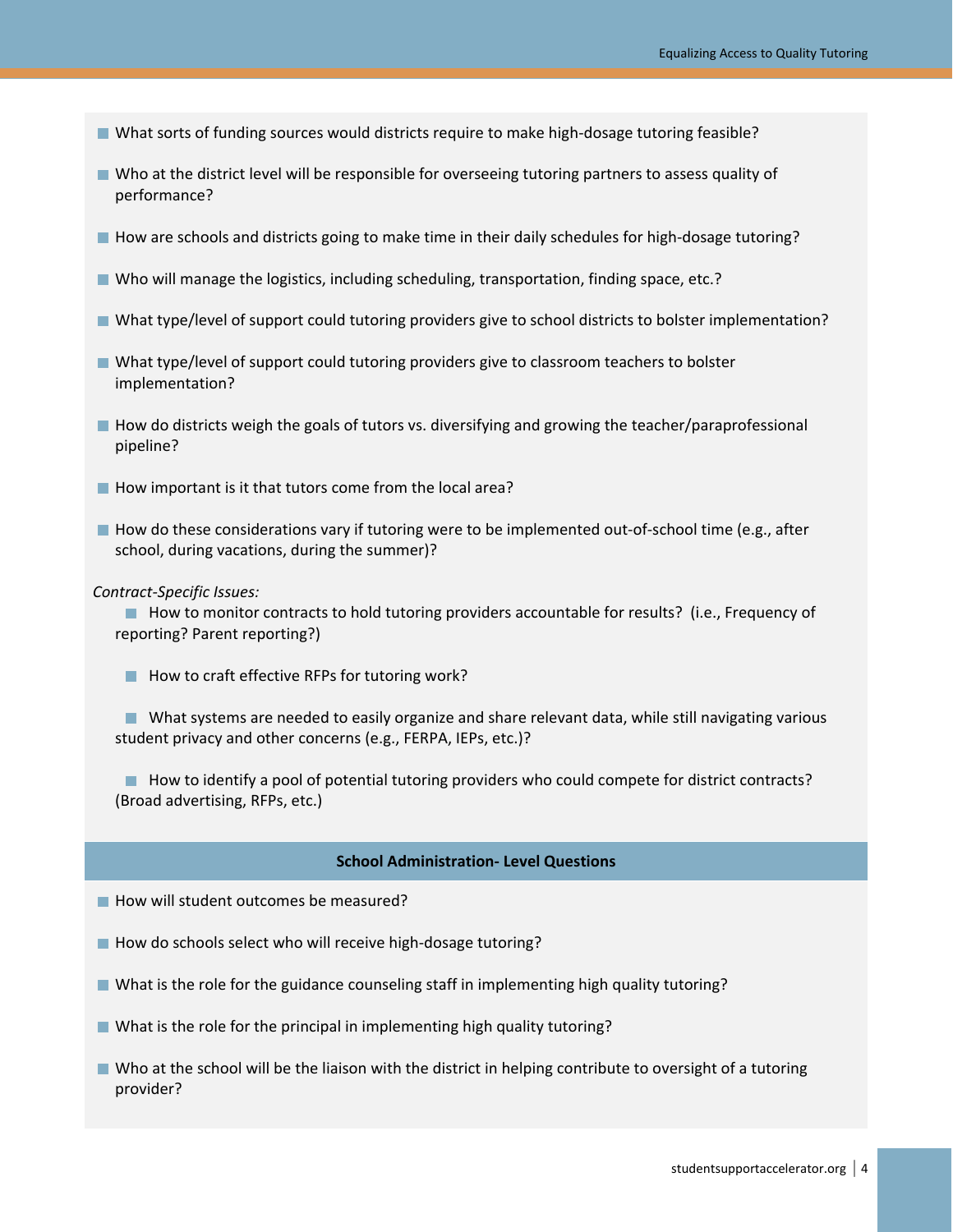- What sorts of funding sources would districts require to make high-dosage tutoring feasible?
- Who at the district level will be responsible for overseeing tutoring partners to assess quality of performance?
- How are schools and districts going to make time in their daily schedules for high-dosage tutoring?
- Who will manage the logistics, including scheduling, transportation, finding space, etc.?
- What type/level of support could tutoring providers give to school districts to bolster implementation?
- What type/level of support could tutoring providers give to classroom teachers to bolster implementation?
- How do districts weigh the goals of tutors vs. diversifying and growing the teacher/paraprofessional pipeline?
- $\blacksquare$  How important is it that tutors come from the local area?
- How do these considerations vary if tutoring were to be implemented out-of-school time (e.g., after school, during vacations, during the summer)?
- *Contract-Specific Issues:*

■ How to monitor contracts to hold tutoring providers accountable for results? (i.e., Frequency of reporting? Parent reporting?)

■ How to craft effective RFPs for tutoring work?

What systems are needed to easily organize and share relevant data, while still navigating various student privacy and other concerns (e.g., FERPA, IEPs, etc.)?

 $\blacksquare$  How to identify a pool of potential tutoring providers who could compete for district contracts? (Broad advertising, RFPs, etc.)

#### **School Administration- Level Questions**

- How will student outcomes be measured?
- $\blacksquare$  How do schools select who will receive high-dosage tutoring?
- What is the role for the guidance counseling staff in implementing high quality tutoring?
- What is the role for the principal in implementing high quality tutoring?
- Who at the school will be the liaison with the district in helping contribute to oversight of a tutoring provider?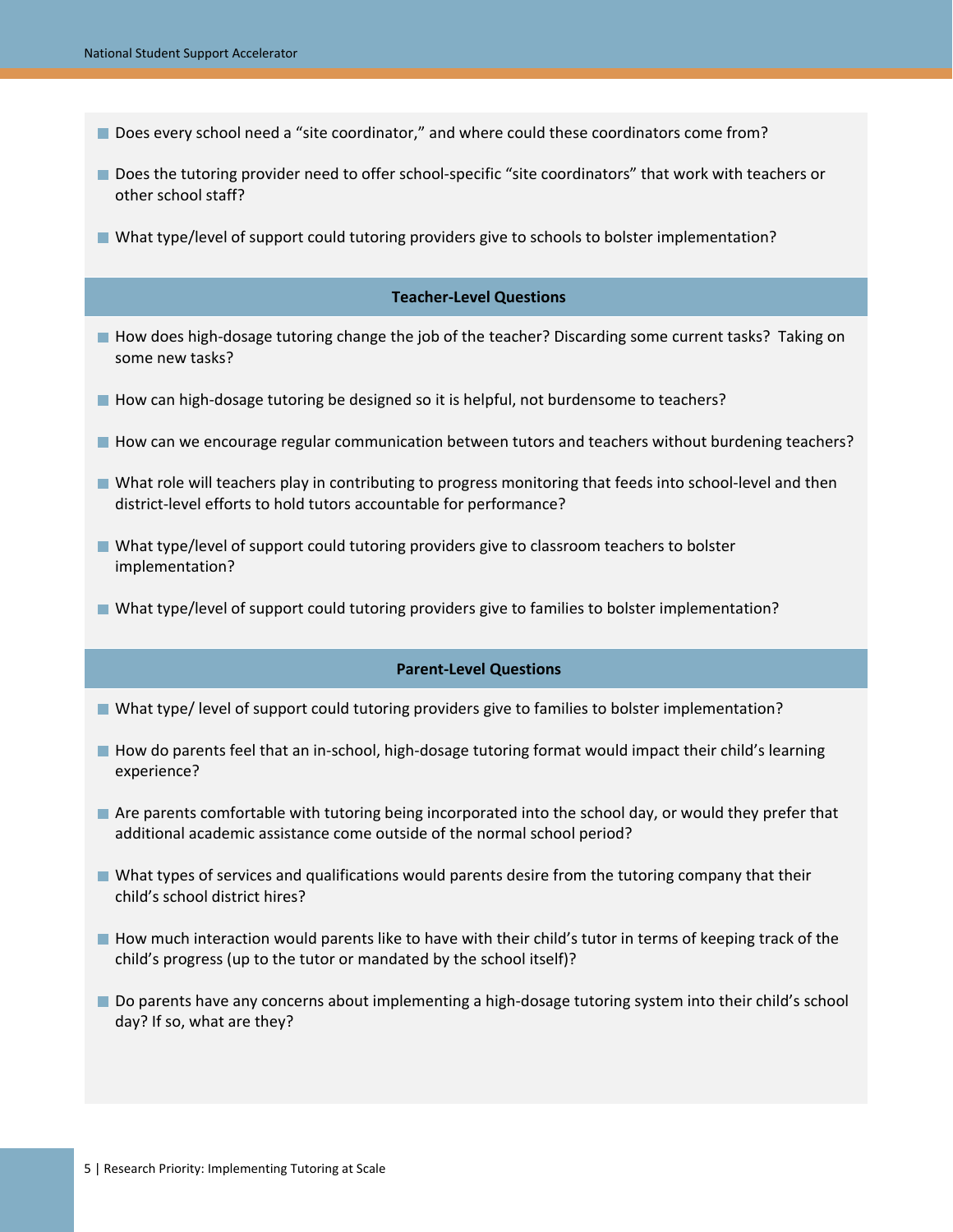- Does every school need a "site coordinator," and where could these coordinators come from?
- Does the tutoring provider need to offer school-specific "site coordinators" that work with teachers or other school staff?
- What type/level of support could tutoring providers give to schools to bolster implementation?

#### **Teacher-Level Questions**

- How does high-dosage tutoring change the job of the teacher? Discarding some current tasks? Taking on some new tasks?
- How can high-dosage tutoring be designed so it is helpful, not burdensome to teachers?
- How can we encourage regular communication between tutors and teachers without burdening teachers?
- What role will teachers play in contributing to progress monitoring that feeds into school-level and then district-level efforts to hold tutors accountable for performance?
- What type/level of support could tutoring providers give to classroom teachers to bolster implementation?
- What type/level of support could tutoring providers give to families to bolster implementation?

#### **Parent-Level Questions**

- What type/ level of support could tutoring providers give to families to bolster implementation?
- How do parents feel that an in-school, high-dosage tutoring format would impact their child's learning experience?
- Are parents comfortable with tutoring being incorporated into the school day, or would they prefer that additional academic assistance come outside of the normal school period?
- What types of services and qualifications would parents desire from the tutoring company that their child's school district hires?
- How much interaction would parents like to have with their child's tutor in terms of keeping track of the child's progress (up to the tutor or mandated by the school itself)?
- Do parents have any concerns about implementing a high-dosage tutoring system into their child's school day? If so, what are they?